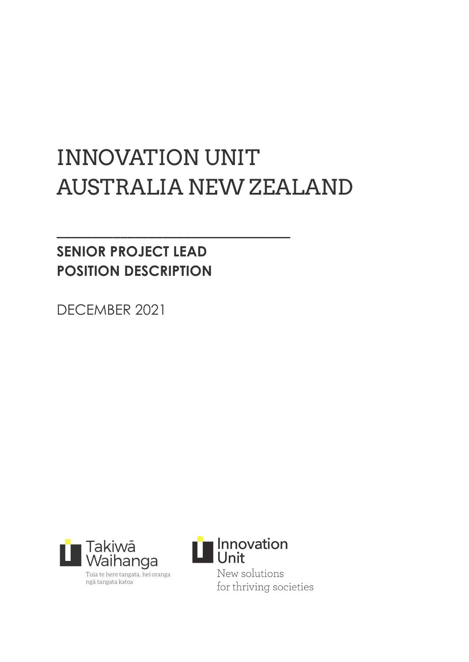# INNOVATION UNIT AUSTRALIA NEW ZEALAND

**\_\_\_\_\_\_\_\_\_\_\_\_\_\_\_\_\_\_\_\_\_\_\_\_\_\_\_\_\_\_\_\_\_**

# **SENIOR PROJECT LEAD POSITION DESCRIPTION**

DECEMBER 2021



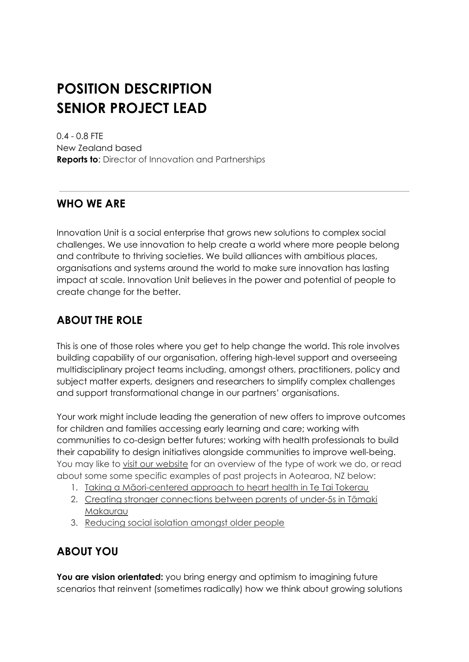# **POSITION DESCRIPTION SENIOR PROJECT LEAD**

0.4 - 0.8 FTE New Zealand based **Reports to**: Director of Innovation and Partnerships

# **WHO WE ARE**

Innovation Unit is a social enterprise that grows new solutions to complex social challenges. We use innovation to help create a world where more people belong and contribute to thriving societies. We build alliances with ambitious places, organisations and systems around the world to make sure innovation has lasting impact at scale. Innovation Unit believes in the power and potential of people to create change for the better.

# **ABOUT THE ROLE**

This is one of those roles where you get to help change the world. This role involves building capability of our organisation, offering high-level support and overseeing multidisciplinary project teams including, amongst others, practitioners, policy and subject matter experts, designers and researchers to simplify complex challenges and support transformational change in our partners' organisations.

Your work might include leading the generation of new offers to improve outcomes for children and families accessing early learning and care; working with communities to co-design better futures; working with health professionals to build their capability to design initiatives alongside communities to improve well-being. You may like to visit our [website](https://www.innovationunit.org/work/) for an overview of the type of work we do, or read about some some specific examples of past projects in Aotearoa, NZ below:

- 1. Taking a [Māori-centered](https://www.innovationunit.org/projects/maori-heart-health/) approach to heart health in Te Tai Tokerau
- 2. Creating stronger [connections](https://www.innovationunit.org/thoughts/harakeke/) between parents of under-5s in Tāmaki [Makaurau](https://www.innovationunit.org/thoughts/harakeke/)
- 3. [Reducing](https://www.innovationunit.org/projects/generations/) social isolation amongst older people

# **ABOUT YOU**

**You are vision orientated:** you bring energy and optimism to imagining future scenarios that reinvent (sometimes radically) how we think about growing solutions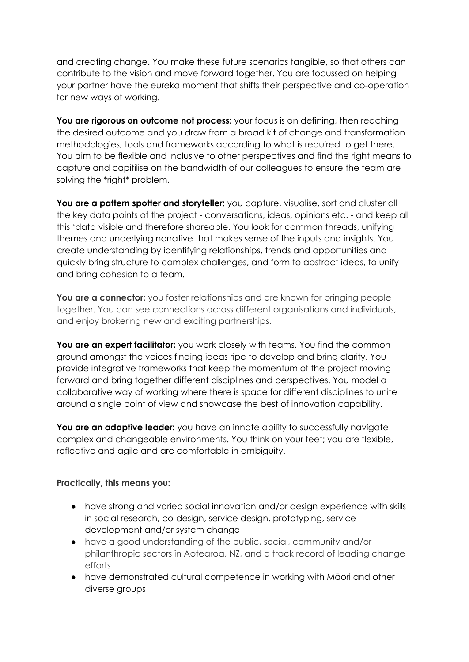and creating change. You make these future scenarios tangible, so that others can contribute to the vision and move forward together. You are focussed on helping your partner have the eureka moment that shifts their perspective and co-operation for new ways of working.

**You are rigorous on outcome not process:** your focus is on defining, then reaching the desired outcome and you draw from a broad kit of change and transformation methodologies, tools and frameworks according to what is required to get there. You aim to be flexible and inclusive to other perspectives and find the right means to capture and capitilise on the bandwidth of our colleagues to ensure the team are solving the \*right\* problem.

**You are a pattern spotter and storyteller:** you capture, visualise, sort and cluster all the key data points of the project - conversations, ideas, opinions etc. - and keep all this 'data visible and therefore shareable. You look for common threads, unifying themes and underlying narrative that makes sense of the inputs and insights. You create understanding by identifying relationships, trends and opportunities and quickly bring structure to complex challenges, and form to abstract ideas, to unify and bring cohesion to a team.

**You are a connector:** you foster relationships and are known for bringing people together. You can see connections across different organisations and individuals, and enjoy brokering new and exciting partnerships.

**You are an expert facilitator:** you work closely with teams. You find the common ground amongst the voices finding ideas ripe to develop and bring clarity. You provide integrative frameworks that keep the momentum of the project moving forward and bring together different disciplines and perspectives. You model a collaborative way of working where there is space for different disciplines to unite around a single point of view and showcase the best of innovation capability.

**You are an adaptive leader:** you have an innate ability to successfully navigate complex and changeable environments. You think on your feet; you are flexible, reflective and agile and are comfortable in ambiguity.

#### **Practically, this means you:**

- have strong and varied social innovation and/or design experience with skills in social research, co-design, service design, prototyping, service development and/or system change
- have a good understanding of the public, social, community and/or philanthropic sectors in Aotearoa, NZ, and a track record of leading change efforts
- have demonstrated cultural competence in working with Māori and other diverse groups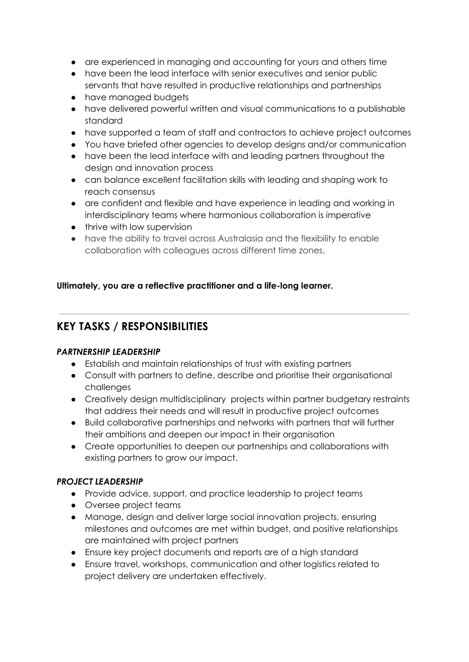- are experienced in managing and accounting for yours and others time
- have been the lead interface with senior executives and senior public servants that have resulted in productive relationships and partnerships
- have managed budgets
- have delivered powerful written and visual communications to a publishable standard
- have supported a team of staff and contractors to achieve project outcomes
- You have briefed other agencies to develop designs and/or communication
- have been the lead interface with and leading partners throughout the design and innovation process
- can balance excellent facilitation skills with leading and shaping work to reach consensus
- are confident and flexible and have experience in leading and working in interdisciplinary teams where harmonious collaboration is imperative
- thrive with low supervision
- have the ability to travel across Australasia and the flexibility to enable collaboration with colleagues across different time zones.

#### **Ultimately, you are a reflective practitioner and a life-long learner.**

## **KEY TASKS / RESPONSIBILITIES**

#### *PARTNERSHIP LEADERSHIP*

- Establish and maintain relationships of trust with existing partners
- Consult with partners to define, describe and prioritise their organisational challenges
- Creatively design multidisciplinary projects within partner budgetary restraints that address their needs and will result in productive project outcomes
- Build collaborative partnerships and networks with partners that will further their ambitions and deepen our impact in their organisation
- Create opportunities to deepen our partnerships and collaborations with existing partners to grow our impact.

#### *PROJECT LEADERSHIP*

- Provide advice, support, and practice leadership to project teams
- Oversee project teams
- Manage, design and deliver large social innovation projects, ensuring milestones and outcomes are met within budget, and positive relationships are maintained with project partners
- Ensure key project documents and reports are of a high standard
- Ensure travel, workshops, communication and other logistics related to project delivery are undertaken effectively.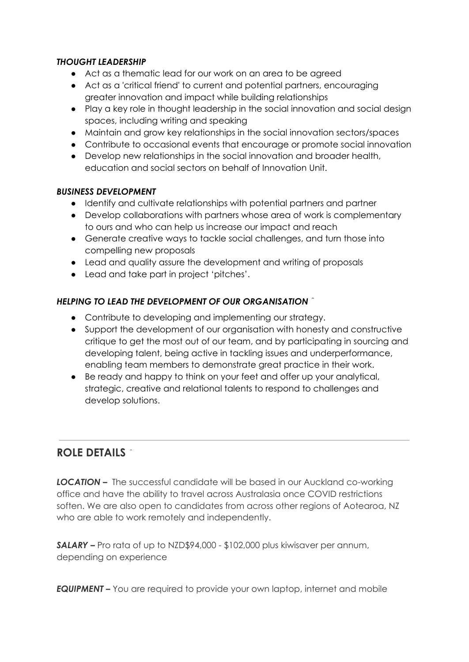#### *THOUGHT LEADERSHIP*

- Act as a thematic lead for our work on an area to be agreed
- Act as a 'critical friend' to current and potential partners, encouraging greater innovation and impact while building relationships
- Play a key role in thought leadership in the social innovation and social design spaces, including writing and speaking
- Maintain and grow key relationships in the social innovation sectors/spaces
- Contribute to occasional events that encourage or promote social innovation
- Develop new relationships in the social innovation and broader health, education and social sectors on behalf of Innovation Unit.

#### *BUSINESS DEVELOPMENT*

- Identify and cultivate relationships with potential partners and partner
- Develop collaborations with partners whose area of work is complementary to ours and who can help us increase our impact and reach
- Generate creative ways to tackle social challenges, and turn those into compelling new proposals
- Lead and quality assure the development and writing of proposals
- Lead and take part in project 'pitches'.

#### *HELPING TO LEAD THE DEVELOPMENT OF OUR ORGANISATION*

- Contribute to developing and implementing our strategy.
- Support the development of our organisation with honesty and constructive critique to get the most out of our team, and by participating in sourcing and developing talent, being active in tackling issues and underperformance, enabling team members to demonstrate great practice in their work.
- Be ready and happy to think on your feet and offer up your analytical, strategic, creative and relational talents to respond to challenges and develop solutions.

### **ROLE DETAILS**

*LOCATION –* The successful candidate will be based in our Auckland co-working office and have the ability to travel across Australasia once COVID restrictions soften. We are also open to candidates from across other regions of Aotearoa, NZ who are able to work remotely and independently.

*SALARY –* Pro rata of up to NZD\$94,000 - \$102,000 plus kiwisaver per annum, depending on experience

*EQUIPMENT* – You are required to provide your own laptop, internet and mobile